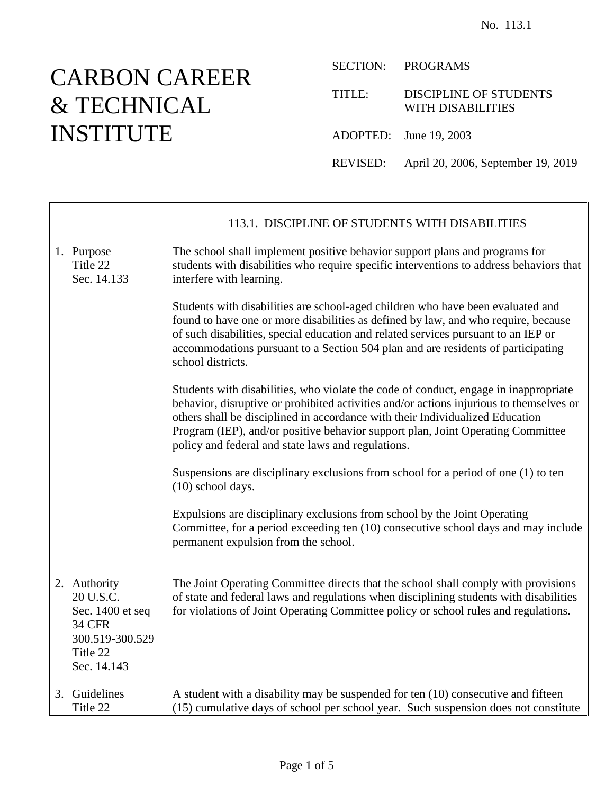# CARBON CAREER & TECHNICAL INSTITUTE

SECTION: PROGRAMS

TITLE: DISCIPLINE OF STUDENTS WITH DISABILITIES

ADOPTED: June 19, 2003

REVISED: April 20, 2006, September 19, 2019

|                                                                                                              | 113.1. DISCIPLINE OF STUDENTS WITH DISABILITIES                                                                                                                                                                                                                                                                                                                                                           |
|--------------------------------------------------------------------------------------------------------------|-----------------------------------------------------------------------------------------------------------------------------------------------------------------------------------------------------------------------------------------------------------------------------------------------------------------------------------------------------------------------------------------------------------|
| 1. Purpose<br>Title 22<br>Sec. 14.133                                                                        | The school shall implement positive behavior support plans and programs for<br>students with disabilities who require specific interventions to address behaviors that<br>interfere with learning.                                                                                                                                                                                                        |
|                                                                                                              | Students with disabilities are school-aged children who have been evaluated and<br>found to have one or more disabilities as defined by law, and who require, because<br>of such disabilities, special education and related services pursuant to an IEP or<br>accommodations pursuant to a Section 504 plan and are residents of participating<br>school districts.                                      |
|                                                                                                              | Students with disabilities, who violate the code of conduct, engage in inappropriate<br>behavior, disruptive or prohibited activities and/or actions injurious to themselves or<br>others shall be disciplined in accordance with their Individualized Education<br>Program (IEP), and/or positive behavior support plan, Joint Operating Committee<br>policy and federal and state laws and regulations. |
|                                                                                                              | Suspensions are disciplinary exclusions from school for a period of one (1) to ten<br>$(10)$ school days.                                                                                                                                                                                                                                                                                                 |
|                                                                                                              | Expulsions are disciplinary exclusions from school by the Joint Operating<br>Committee, for a period exceeding ten (10) consecutive school days and may include<br>permanent expulsion from the school.                                                                                                                                                                                                   |
| 2. Authority<br>20 U.S.C.<br>Sec. 1400 et seq<br><b>34 CFR</b><br>300.519-300.529<br>Title 22<br>Sec. 14.143 | The Joint Operating Committee directs that the school shall comply with provisions<br>of state and federal laws and regulations when disciplining students with disabilities<br>for violations of Joint Operating Committee policy or school rules and regulations.                                                                                                                                       |
| 3. Guidelines<br>Title 22                                                                                    | A student with a disability may be suspended for ten (10) consecutive and fifteen<br>(15) cumulative days of school per school year. Such suspension does not constitute                                                                                                                                                                                                                                  |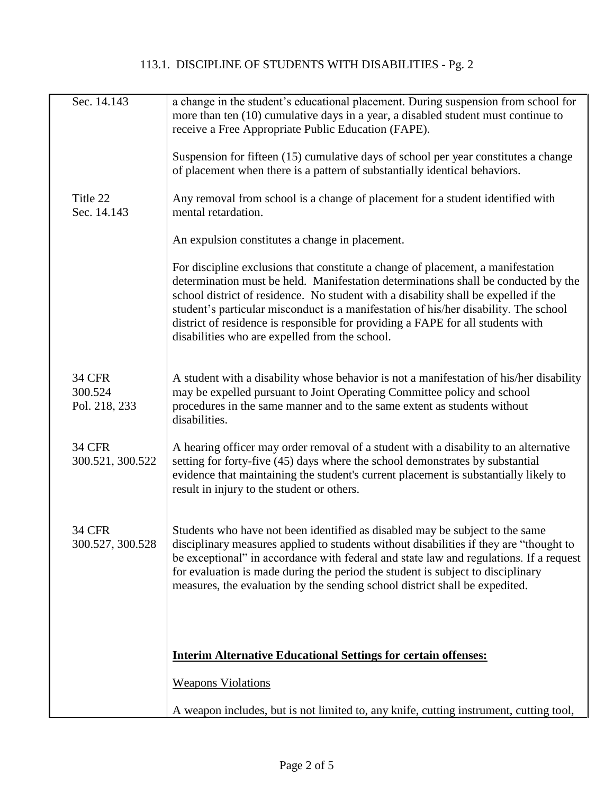| Sec. 14.143                               | a change in the student's educational placement. During suspension from school for<br>more than ten (10) cumulative days in a year, a disabled student must continue to                                                                                                                                                                                                                                                                                                                    |
|-------------------------------------------|--------------------------------------------------------------------------------------------------------------------------------------------------------------------------------------------------------------------------------------------------------------------------------------------------------------------------------------------------------------------------------------------------------------------------------------------------------------------------------------------|
|                                           | receive a Free Appropriate Public Education (FAPE).                                                                                                                                                                                                                                                                                                                                                                                                                                        |
|                                           | Suspension for fifteen (15) cumulative days of school per year constitutes a change<br>of placement when there is a pattern of substantially identical behaviors.                                                                                                                                                                                                                                                                                                                          |
| Title 22<br>Sec. 14.143                   | Any removal from school is a change of placement for a student identified with<br>mental retardation.                                                                                                                                                                                                                                                                                                                                                                                      |
|                                           | An expulsion constitutes a change in placement.                                                                                                                                                                                                                                                                                                                                                                                                                                            |
|                                           | For discipline exclusions that constitute a change of placement, a manifestation<br>determination must be held. Manifestation determinations shall be conducted by the<br>school district of residence. No student with a disability shall be expelled if the<br>student's particular misconduct is a manifestation of his/her disability. The school<br>district of residence is responsible for providing a FAPE for all students with<br>disabilities who are expelled from the school. |
| <b>34 CFR</b><br>300.524<br>Pol. 218, 233 | A student with a disability whose behavior is not a manifestation of his/her disability<br>may be expelled pursuant to Joint Operating Committee policy and school<br>procedures in the same manner and to the same extent as students without<br>disabilities.                                                                                                                                                                                                                            |
| <b>34 CFR</b><br>300.521, 300.522         | A hearing officer may order removal of a student with a disability to an alternative<br>setting for forty-five (45) days where the school demonstrates by substantial<br>evidence that maintaining the student's current placement is substantially likely to<br>result in injury to the student or others.                                                                                                                                                                                |
| <b>34 CFR</b><br>300.527, 300.528         | Students who have not been identified as disabled may be subject to the same<br>disciplinary measures applied to students without disabilities if they are "thought to<br>be exceptional" in accordance with federal and state law and regulations. If a request<br>for evaluation is made during the period the student is subject to disciplinary<br>measures, the evaluation by the sending school district shall be expedited.                                                         |
|                                           | <b>Interim Alternative Educational Settings for certain offenses:</b><br><b>Weapons Violations</b>                                                                                                                                                                                                                                                                                                                                                                                         |
|                                           |                                                                                                                                                                                                                                                                                                                                                                                                                                                                                            |
|                                           | A weapon includes, but is not limited to, any knife, cutting instrument, cutting tool,                                                                                                                                                                                                                                                                                                                                                                                                     |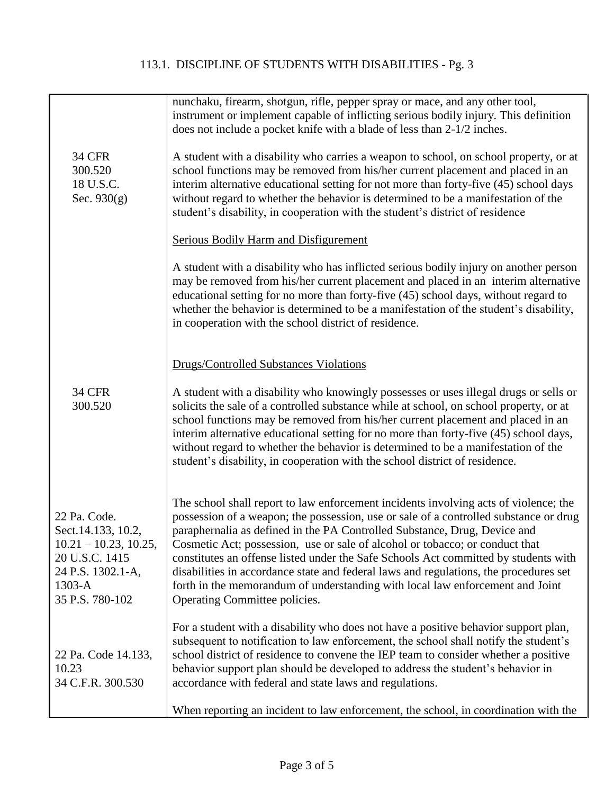|                                                                                                                                         | nunchaku, firearm, shotgun, rifle, pepper spray or mace, and any other tool,<br>instrument or implement capable of inflicting serious bodily injury. This definition<br>does not include a pocket knife with a blade of less than 2-1/2 inches.                                                                                                                                                                                                                                                                                                                                                                                              |
|-----------------------------------------------------------------------------------------------------------------------------------------|----------------------------------------------------------------------------------------------------------------------------------------------------------------------------------------------------------------------------------------------------------------------------------------------------------------------------------------------------------------------------------------------------------------------------------------------------------------------------------------------------------------------------------------------------------------------------------------------------------------------------------------------|
| <b>34 CFR</b><br>300.520<br>18 U.S.C.<br>Sec. $930(g)$                                                                                  | A student with a disability who carries a weapon to school, on school property, or at<br>school functions may be removed from his/her current placement and placed in an<br>interim alternative educational setting for not more than forty-five (45) school days<br>without regard to whether the behavior is determined to be a manifestation of the<br>student's disability, in cooperation with the student's district of residence                                                                                                                                                                                                      |
|                                                                                                                                         | <b>Serious Bodily Harm and Disfigurement</b>                                                                                                                                                                                                                                                                                                                                                                                                                                                                                                                                                                                                 |
|                                                                                                                                         | A student with a disability who has inflicted serious bodily injury on another person<br>may be removed from his/her current placement and placed in an interim alternative<br>educational setting for no more than forty-five (45) school days, without regard to<br>whether the behavior is determined to be a manifestation of the student's disability,<br>in cooperation with the school district of residence.                                                                                                                                                                                                                         |
|                                                                                                                                         | <b>Drugs/Controlled Substances Violations</b>                                                                                                                                                                                                                                                                                                                                                                                                                                                                                                                                                                                                |
| <b>34 CFR</b><br>300.520                                                                                                                | A student with a disability who knowingly possesses or uses illegal drugs or sells or<br>solicits the sale of a controlled substance while at school, on school property, or at<br>school functions may be removed from his/her current placement and placed in an<br>interim alternative educational setting for no more than forty-five (45) school days,<br>without regard to whether the behavior is determined to be a manifestation of the<br>student's disability, in cooperation with the school district of residence.                                                                                                              |
| 22 Pa. Code.<br>Sect. 14.133, 10.2,<br>$10.21 - 10.23$ , 10.25,<br>20 U.S.C. 1415<br>24 P.S. 1302.1-A,<br>$1303 - A$<br>35 P.S. 780-102 | The school shall report to law enforcement incidents involving acts of violence; the<br>possession of a weapon; the possession, use or sale of a controlled substance or drug<br>paraphernalia as defined in the PA Controlled Substance, Drug, Device and<br>Cosmetic Act; possession, use or sale of alcohol or tobacco; or conduct that<br>constitutes an offense listed under the Safe Schools Act committed by students with<br>disabilities in accordance state and federal laws and regulations, the procedures set<br>forth in the memorandum of understanding with local law enforcement and Joint<br>Operating Committee policies. |
| 22 Pa. Code 14.133,<br>10.23<br>34 C.F.R. 300.530                                                                                       | For a student with a disability who does not have a positive behavior support plan,<br>subsequent to notification to law enforcement, the school shall notify the student's<br>school district of residence to convene the IEP team to consider whether a positive<br>behavior support plan should be developed to address the student's behavior in<br>accordance with federal and state laws and regulations.                                                                                                                                                                                                                              |
|                                                                                                                                         | When reporting an incident to law enforcement, the school, in coordination with the                                                                                                                                                                                                                                                                                                                                                                                                                                                                                                                                                          |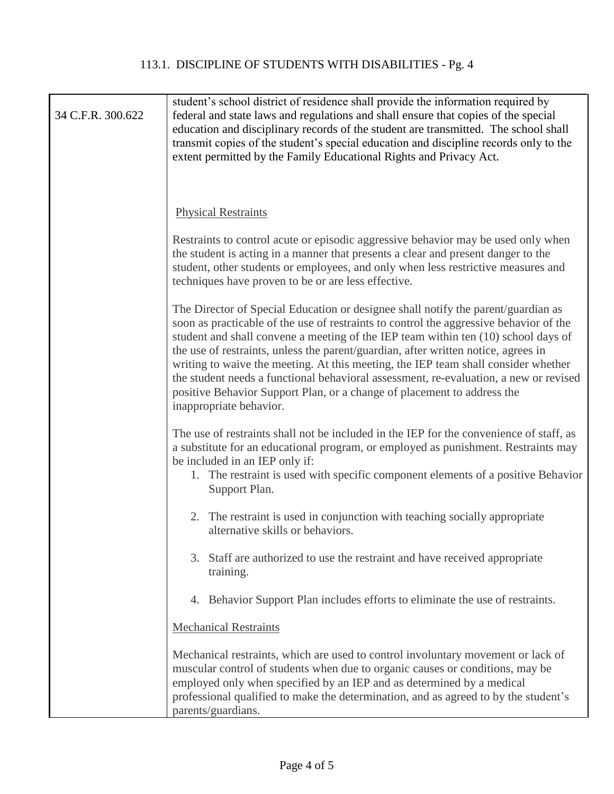| 34 C.F.R. 300.622 | student's school district of residence shall provide the information required by<br>federal and state laws and regulations and shall ensure that copies of the special<br>education and disciplinary records of the student are transmitted. The school shall<br>transmit copies of the student's special education and discipline records only to the<br>extent permitted by the Family Educational Rights and Privacy Act.                                                                                                                                                                                                                 |
|-------------------|----------------------------------------------------------------------------------------------------------------------------------------------------------------------------------------------------------------------------------------------------------------------------------------------------------------------------------------------------------------------------------------------------------------------------------------------------------------------------------------------------------------------------------------------------------------------------------------------------------------------------------------------|
|                   | <b>Physical Restraints</b><br>Restraints to control acute or episodic aggressive behavior may be used only when<br>the student is acting in a manner that presents a clear and present danger to the<br>student, other students or employees, and only when less restrictive measures and<br>techniques have proven to be or are less effective.                                                                                                                                                                                                                                                                                             |
|                   | The Director of Special Education or designee shall notify the parent/guardian as<br>soon as practicable of the use of restraints to control the aggressive behavior of the<br>student and shall convene a meeting of the IEP team within ten (10) school days of<br>the use of restraints, unless the parent/guardian, after written notice, agrees in<br>writing to waive the meeting. At this meeting, the IEP team shall consider whether<br>the student needs a functional behavioral assessment, re-evaluation, a new or revised<br>positive Behavior Support Plan, or a change of placement to address the<br>inappropriate behavior. |
|                   | The use of restraints shall not be included in the IEP for the convenience of staff, as<br>a substitute for an educational program, or employed as punishment. Restraints may<br>be included in an IEP only if:<br>1. The restraint is used with specific component elements of a positive Behavior<br>Support Plan.                                                                                                                                                                                                                                                                                                                         |
|                   | 2. The restraint is used in conjunction with teaching socially appropriate<br>alternative skills or behaviors.                                                                                                                                                                                                                                                                                                                                                                                                                                                                                                                               |
|                   | 3. Staff are authorized to use the restraint and have received appropriate<br>training.                                                                                                                                                                                                                                                                                                                                                                                                                                                                                                                                                      |
|                   | 4. Behavior Support Plan includes efforts to eliminate the use of restraints.                                                                                                                                                                                                                                                                                                                                                                                                                                                                                                                                                                |
|                   | <b>Mechanical Restraints</b>                                                                                                                                                                                                                                                                                                                                                                                                                                                                                                                                                                                                                 |
|                   | Mechanical restraints, which are used to control involuntary movement or lack of<br>muscular control of students when due to organic causes or conditions, may be<br>employed only when specified by an IEP and as determined by a medical<br>professional qualified to make the determination, and as agreed to by the student's<br>parents/guardians.                                                                                                                                                                                                                                                                                      |